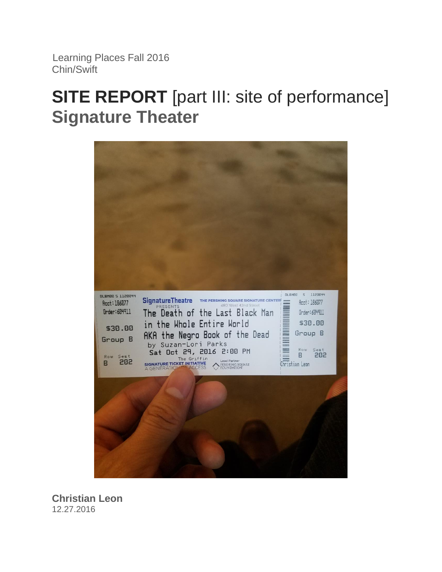Learning Places Fall 2016 Chin/Swift

# **SITE REPORT** [part III: site of performance] **Signature Theater**



**Christian Leon** 12.27.2016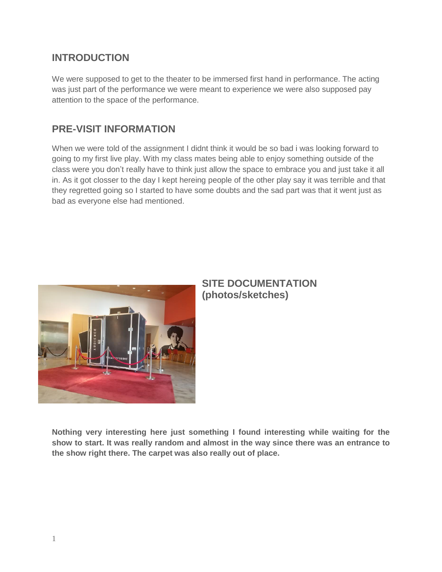### **INTRODUCTION**

We were supposed to get to the theater to be immersed first hand in performance. The acting was just part of the performance we were meant to experience we were also supposed pay attention to the space of the performance.

#### **PRE-VISIT INFORMATION**

When we were told of the assignment I didnt think it would be so bad i was looking forward to going to my first live play. With my class mates being able to enjoy something outside of the class were you don't really have to think just allow the space to embrace you and just take it all in. As it got closser to the day I kept hereing people of the other play say it was terrible and that they regretted going so I started to have some doubts and the sad part was that it went just as bad as everyone else had mentioned.



#### **SITE DOCUMENTATION (photos/sketches)**

**Nothing very interesting here just something I found interesting while waiting for the show to start. It was really random and almost in the way since there was an entrance to the show right there. The carpet was also really out of place.**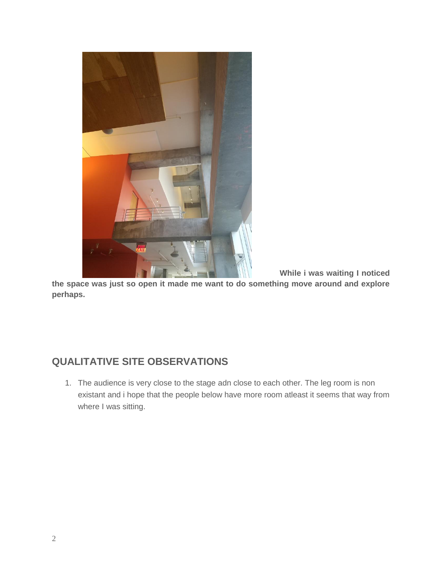

**While i was waiting I noticed** 

**the space was just so open it made me want to do something move around and explore perhaps.** 

## **QUALITATIVE SITE OBSERVATIONS**

1. The audience is very close to the stage adn close to each other. The leg room is non existant and i hope that the people below have more room atleast it seems that way from where I was sitting.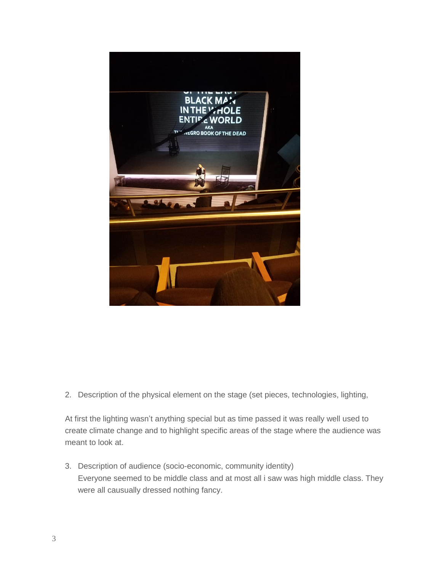

2. Description of the physical element on the stage (set pieces, technologies, lighting,

At first the lighting wasn't anything special but as time passed it was really well used to create climate change and to highlight specific areas of the stage where the audience was meant to look at.

3. Description of audience (socio-economic, community identity) Everyone seemed to be middle class and at most all i saw was high middle class. They were all causually dressed nothing fancy.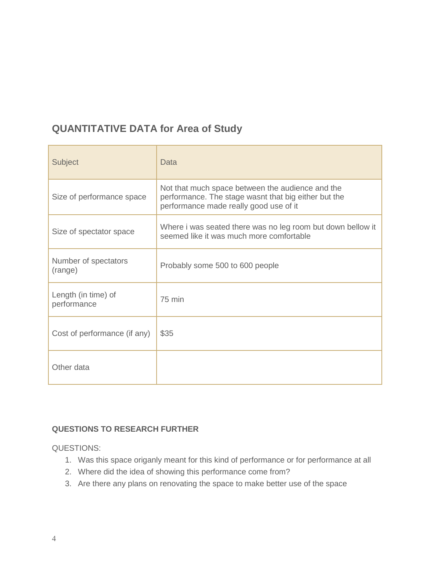## **QUANTITATIVE DATA for Area of Study**

| Subject                            | Data                                                                                                                                               |
|------------------------------------|----------------------------------------------------------------------------------------------------------------------------------------------------|
| Size of performance space          | Not that much space between the audience and the<br>performance. The stage wasnt that big either but the<br>performance made really good use of it |
| Size of spectator space            | Where i was seated there was no leg room but down bellow it<br>seemed like it was much more comfortable                                            |
| Number of spectators<br>(range)    | Probably some 500 to 600 people                                                                                                                    |
| Length (in time) of<br>performance | 75 min                                                                                                                                             |
| Cost of performance (if any)       | \$35                                                                                                                                               |
| Other data                         |                                                                                                                                                    |

#### **QUESTIONS TO RESEARCH FURTHER**

QUESTIONS:

- 1. Was this space origanly meant for this kind of performance or for performance at all
- 2. Where did the idea of showing this performance come from?
- 3. Are there any plans on renovating the space to make better use of the space